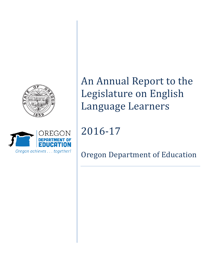



# An Annual Report to the Legislature on English Language Learners

2016-17

Oregon Department of Education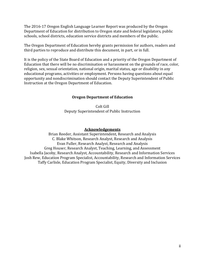The 2016-17 Oregon English Language Learner Report was produced by the Oregon Department of Education for distribution to Oregon state and federal legislators, public schools, school districts, education service districts and members of the public.

The Oregon Department of Education hereby grants permission for authors, readers and third parties to reproduce and distribute this document, in part, or in full.

<span id="page-1-0"></span>It is the policy of the State Board of Education and a priority of the Oregon Department of Education that there will be no discrimination or harassment on the grounds of race, color, religion, sex, sexual orientation, national origin, marital status, age or disability in any educational programs, activities or employment. Persons having questions about equal opportunity and nondiscrimination should contact the Deputy Superintendent of Public Instruction at the Oregon Department of Education.

## **Oregon Department of Education**

Colt Gill Deputy Superintendent of Public Instruction

## **Acknowledgements**

<span id="page-1-1"></span>Brian Reeder, Assistant Superintendent, Research and Analysis C. Blake Whitson, Research Analyst, Research and Analysis Evan Fuller, Research Analyst, Research and Analysis Greg Houser, Research Analyst, Teaching, Learning, and Assessment Isabella Jacoby, Research Analyst, Accountability, Research and Information Services Josh Rew, Education Program Specialist, Accountability, Research and Information Services Taffy Carlisle, Education Program Specialist, Equity, Diversity and Inclusion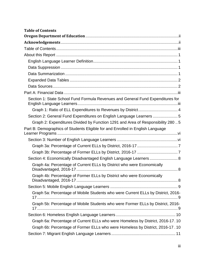<span id="page-2-0"></span>

| <b>Table of Contents</b>                                                         |
|----------------------------------------------------------------------------------|
|                                                                                  |
|                                                                                  |
|                                                                                  |
|                                                                                  |
|                                                                                  |
|                                                                                  |
|                                                                                  |
|                                                                                  |
|                                                                                  |
|                                                                                  |
| Section 1: State School Fund Formula Revenues and General Fund Expenditures for  |
| Graph 1: Ratio of ELL Expenditures to Revenues by District 4                     |
| Section 2: General Fund Expenditures on English Language Learners 5              |
| Graph 2: Expenditures Divided by Function 1291 and Area of Responsibility 280.5  |
| Part B: Demographics of Students Eligible for and Enrolled in English Language   |
|                                                                                  |
|                                                                                  |
|                                                                                  |
|                                                                                  |
| Section 4: Economically Disadvantaged English Language Learners  8               |
| Graph 4a: Percentage of Current ELLs by District who were Economically           |
| Graph 4b: Percentage of Former ELLs by District who were Economically            |
|                                                                                  |
| Graph 5a: Percentage of Mobile Students who were Current ELLs by District, 2016- |
| Graph 5b: Percentage of Mobile Students who were Former ELLs by District, 2016-  |
|                                                                                  |
| Graph 6a: Percentage of Current ELLs who were Homeless by District, 2016-17.10   |
| Graph 6b: Percentage of Former ELLs who were Homeless by District, 2016-17.10    |
|                                                                                  |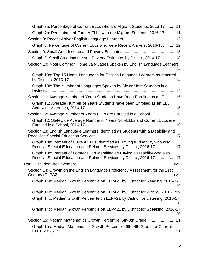| Graph 7a: Percentage of Current ELLs who are Migrant Students, 2016-17  11                                                                              |
|---------------------------------------------------------------------------------------------------------------------------------------------------------|
| Graph 7b: Percentage of Former ELLs who are Migrant Students, 2016-17  11                                                                               |
| Graph 8: Percentage of Current ELLs who were Recent Arrivers, 2016-17 12                                                                                |
|                                                                                                                                                         |
| Graph 9: Small Area Income and Poverty Estimates by District, 2016-17  13                                                                               |
| Section 10: Most Common Home Languages Spoken by English Language Learners                                                                              |
|                                                                                                                                                         |
| Graph 10a: Top 15 Home Languages for English Language Learners as reported                                                                              |
| Graph 10b: The Number of Languages Spoken by Six or More Students in a                                                                                  |
| Section 11: Average Number of Years Students Have Been Enrolled as an ELL  15                                                                           |
| Graph 11: Average Number of Years Students have been Enrolled as an ELL,                                                                                |
| Section 12: Average Number of Years ELLs are Enrolled in a School  16                                                                                   |
| Graph 12: Statewide Average Number of Years Non-ELLs and Current ELLs are                                                                               |
| Section 13: English Language Learners Identified as Students with a Disability and                                                                      |
| Graph 13a: Percent of Current ELLs Identified as Having a Disability who also<br>Receive Special Education and Related Services by District, 2016-17 17 |
| Graph 13b: Percent of Former ELLs Identified as Having a Disability who also<br>Receive Special Education and Related Services by District, 2016-17 17  |
|                                                                                                                                                         |
| Section 14: Growth on the English Language Proficiency Assessment for the 21st                                                                          |
| Graph 14a: Median Growth Percentile on ELPA21 by District for Reading, 2016-17                                                                          |
| Graph 14b: Median Growth Percentile on ELPA21 by District for Writing, 2016-1719                                                                        |
| Graph 14c: Median Growth Percentile on ELPA21 by District for Listening, 2016-17                                                                        |
| Graph 14d: Median Growth Percentile on ELPA21 by District for Speaking, 2016-17                                                                         |
|                                                                                                                                                         |
| Graph 15a: Median Mathematics Growth Percentile, 6th -8th Grade for Current                                                                             |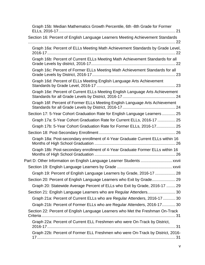| Graph 15b: Median Mathematics Growth Percentile, 6th -8th Grade for Former     |
|--------------------------------------------------------------------------------|
| Section 16: Percent of English Language Learners Meeting Achievement Standards |
| Graph 16a: Percent of ELLs Meeting Math Achievement Standards by Grade Level,  |
| Graph 16b: Percent of Current ELLs Meeting Math Achievement Standards for all  |
| Graph 16c: Percent of Former ELLs Meeting Math Achievement Standards for all   |
| Graph 16d: Percent of ELLs Meeting English Language Arts Achievement           |
| Graph 16e: Percent of Current ELLs Meeting English Language Arts Achievement   |
| Graph 16f: Percent of Former ELLs Meeting English Language Arts Achievement    |
| Section 17: 5-Year Cohort Graduation Rate for English Language Learners  25    |
| Graph 17a: 5-Year Cohort Graduation Rate for Current ELLs, 2016-17  25         |
| Graph 17b: 5-Year Cohort Graduation Rate for Former ELLs, 2016-17 25           |
|                                                                                |
| Graph 18a: Post-secondary enrollment of 4-Year Graduate Current ELLs within 16 |
| Graph 18b: Post-secondary enrollment of 4-Year Graduate Former ELLs within 16  |
| Part D: Other Information on English Language Learner Students  xxvii          |
|                                                                                |
| Graph 19: Percent of English Language Learners by Grade, 2016-17  28           |
|                                                                                |
| Graph 20: Statewide Average Percent of ELLs who Exit by Grade, 2016-17  29     |
| Section 21: English Language Learners who are Regular Attenders30              |
| Graph 21a: Percent of Current ELLs who are Regular Attenders, 2016-17  30      |
| Graph 21b: Percent of Former ELLs who are Regular Attenders, 2016-1730         |
| Section 22: Percent of English Language Learners who Met the Freshman On-Track |
| Graph 22a: Percent of Current ELL Freshmen who were On-Track by District,      |
| Graph 22b: Percent of Former ELL Freshmen who were On-Track by District, 2016- |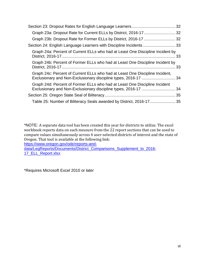| Graph 24a: Percent of Current ELLs who had at Least One Discipline Incident by                                                                  |  |
|-------------------------------------------------------------------------------------------------------------------------------------------------|--|
| Graph 24b: Percent of Former ELLs who had at Least One Discipline Incident by                                                                   |  |
| Graph 24c: Percent of Current ELLs who had at Least One Discipline Incident,<br>Exclusionary and Non-Exclusionary discipline types, 2016-17  34 |  |
| Graph 24d: Percent of Former ELLs who had at Least One Discipline Incident                                                                      |  |
|                                                                                                                                                 |  |
| Table 25: Number of Biliteracy Seals awarded by District, 2016-17 35                                                                            |  |

\*NOTE: A separate data tool has been created this year for districts to utilize. The excel workbook reports data on each measure from the 22 report sections that can be used to compare values simultaneously across 4 user-selected districts of interest and the state of Oregon. That tool is available at the following link:

[https://www.oregon.gov/ode/reports-and-](https://www.oregon.gov/ode/reports-and-data/LegReports/Documents/District_Comparisons_Supplement_to_2016-17_ELL_Report.xlsx)

[data/LegReports/Documents/District\\_Comparisons\\_Supplement\\_to\\_2016-](https://www.oregon.gov/ode/reports-and-data/LegReports/Documents/District_Comparisons_Supplement_to_2016-17_ELL_Report.xlsx) [17\\_ELL\\_Report.xlsx](https://www.oregon.gov/ode/reports-and-data/LegReports/Documents/District_Comparisons_Supplement_to_2016-17_ELL_Report.xlsx)

\*Requires Microsoft Excel 2010 or later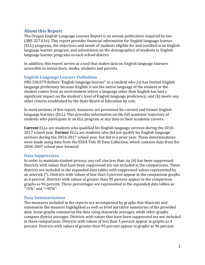# <span id="page-6-0"></span>**About this Report**

The Oregon English Language Learner Report is an annual publication required by law (ORS 327.016). This report provides financial information for English language learner (ELL) programs, the objectives and needs of students eligible for and enrolled in an English language learner program, and information on the demographics of students in English language learner programs in each school district.

In addition, this report serves as a tool that makes data on English language learners accessible to researchers, media, students and parents.

# <span id="page-6-1"></span>**English Language Learner Definition**

ORS 336.079 defines "English language learner" as a student who (a) has limited English language proficiency because English is not the native language of the student or the student comes from an environment where a language other than English has had a significant impact on the student's level of English language proficiency; and (b) meets any other criteria established by the State Board of Education by rule.

In most sections of this report, measures are presented for current and former English language learners (ELL). This provides information on the full academic trajectory of students who participate in an ELL program at any time in their academic careers.

**Current** ELLs are students who qualified for English language services during the 2016- 2017 school year. **Former** ELLs are students who did not qualify for English language services during the 2016-2017 school year, but did in a prior year. These determinations were made using data from the ESEA Title III Data Collection, which contains data from the 2006-2007 school year forward.

# <span id="page-6-2"></span>**Data Suppression**

In order to maintain student privacy, any cell size less than six (6) has been suppressed. Districts with values that have been suppressed are not included in the comparisons. These districts are included in the expanded data tables with suppressed values represented by an asterisk (\*). Districts with values of less than 5 percent appear in the comparison graphs as 4 percent. Districts with values of greater than 95 percent appear in the comparison graphs as 96 percent. These percentages are represented in the expanded data tables as "<5%" and ">95%".

# <span id="page-6-3"></span>**Data Summarization**

The measures included in the reports are accompanied by graphs that illustrate and summarize the measure highlighted as well as brief narrative summaries of the provided data. Some graphs summarize the data using statewide averages, while other graphs compare district averages. Districts with values that have been suppressed are not included in these comparisons. Districts with values of less than 5 percent appear in graphs as 4 percent. Districts with values of greater than 95 percent appear in graphs as 96 percent.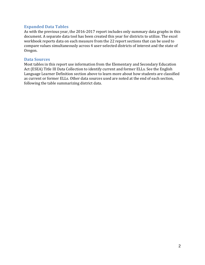## <span id="page-7-0"></span>**Expanded Data Tables**

As with the previous year, the 2016-2017 report includes only summary data graphs in this document. A separate data tool has been created this year for districts to utilize. The excel workbook reports data on each measure from the 22 report sections that can be used to compare values simultaneously across 4 user-selected districts of interest and the state of Oregon.

#### <span id="page-7-1"></span>**Data Sources**

Most tables in this report use information from the Elementary and Secondary Education Act (ESEA) Title III Data Collection to identify current and former ELLs. See the English Language Learner Definition section above to learn more about how students are classified as current or former ELLs. Other data sources used are noted at the end of each section, following the table summarizing district data.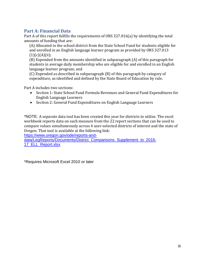# <span id="page-8-0"></span>**Part A: Financial Data**

Part A of this report fulfills the requirements of ORS 327.016(a) by identifying the total amounts of funding that are:

(A) Allocated to the school district from the State School Fund for students eligible for and enrolled in an English language learner program as provided by ORS 327.013  $(1)(c)(A)(ii);$ 

(B) Expended from the amounts identified in subparagraph (A) of this paragraph for students in average daily membership who are eligible for and enrolled in an English language learner program; and

(C) Expended as described in subparagraph (B) of this paragraph by category of expenditure, as identified and defined by the State Board of Education by rule.

Part A includes two sections:

- Section 1: State School Fund Formula Revenues and General Fund Expenditures for English Language Learners
- Section 2: General Fund Expenditures on English Language Learners

<span id="page-8-1"></span>\*NOTE: A separate data tool has been created this year for districts to utilize. The excel workbook reports data on each measure from the 22 report sections that can be used to compare values simultaneously across 4 user-selected districts of interest and the state of Oregon. That tool is available at the following link:

[https://www.oregon.gov/ode/reports-and-](https://www.oregon.gov/ode/reports-and-data/LegReports/Documents/District_Comparisons_Supplement_to_2016-17_ELL_Report.xlsx)

[data/LegReports/Documents/District\\_Comparisons\\_Supplement\\_to\\_2016-](https://www.oregon.gov/ode/reports-and-data/LegReports/Documents/District_Comparisons_Supplement_to_2016-17_ELL_Report.xlsx) [17\\_ELL\\_Report.xlsx](https://www.oregon.gov/ode/reports-and-data/LegReports/Documents/District_Comparisons_Supplement_to_2016-17_ELL_Report.xlsx)

\*Requires Microsoft Excel 2010 or later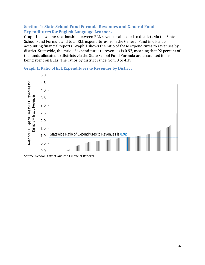# **Section 1: State School Fund Formula Revenues and General Fund Expenditures for English Language Learners**

Graph 1 shows the relationship between ELL revenues allocated to districts via the State School Fund Formula and total ELL expenditures from the General Fund in districts' accounting financial reports. Graph 1 shows the ratio of these expenditures to revenues by district. Statewide, the ratio of expenditures to revenues is 0.92, meaning that 92 percent of the funds allocated to districts via the State School Fund Formula are accounted for as being spent on ELLs. The ratios by district range from 0 to 4.39.



## <span id="page-9-0"></span>**Graph 1: Ratio of ELL Expenditures to Revenues by District**

Source: School District Audited Financial Reports.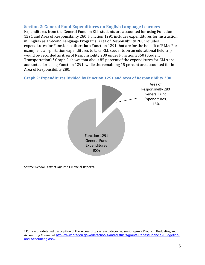# <span id="page-10-0"></span>**Section 2: General Fund Expenditures on English Language Learners**

Expenditures from the General Fund on ELL students are accounted for using Function 1291 and Area of Responsibility 280. Function 1291 includes expenditures for instruction in English as a Second Language Programs. Area of Responsibility 280 includes expenditures for Functions **other than** Function 1291 that are for the benefit of ELLs. For example, transportation expenditures to take ELL students on an educational field trip would be recorded as Area of Responsibility 280 under Function 2550 (Student Transportation).[1](#page-10-2) Graph 2 shows that about 85 percent of the expenditures for ELLs are accounted for using Function 1291, while the remaining 15 percent are accounted for in Area of Responsibility 280.

<span id="page-10-1"></span>**Graph 2: Expenditures Divided by Function 1291 and Area of Responsibility 280**



Source: School District Audited Financial Reports.

 $\overline{a}$ 

<span id="page-10-2"></span><sup>1</sup> For a more detailed description of the accounting system categories, see Oregon's Program Budgeting and Accounting Manual at [http://www.oregon.gov/ode/schools-and-districts/grants/Pages/Financial-Budgeting](http://www.oregon.gov/ode/schools-and-districts/grants/Pages/Financial-Budgeting-and-Accounting.aspx)[and-Accounting.aspx](http://www.oregon.gov/ode/schools-and-districts/grants/Pages/Financial-Budgeting-and-Accounting.aspx).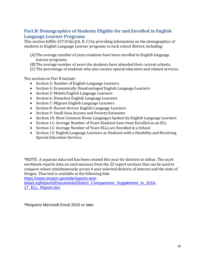# <span id="page-11-0"></span>**Part B: Demographics of Students Eligible for and Enrolled in English Language Learner Programs**

This section fulfills 327.016(c)(A, B, C) by providing information on the demographics of students in English Language Learner programs in each school district, including:

- (A)The average number of years students have been enrolled in English language learner programs;
- (B)The average number of years the students have attended their current schools;
- (C) The percentage of students who also receive special education and related services.

The sections in Part B include:

- Section 3: Number of English Language Learners
- Section 4: Economically Disadvantaged English Language Learners
- Section 5: Mobile English Language Learners
- Section 6: Homeless English Language Learners
- Section 7: Migrant English Language Learners
- Section 8: Recent Arriver English Language Learners
- Section 9: Small Area Income and Poverty Estimates
- Section 10: Most Common Home Languages Spoken by English Language Learners
- Section 11: Average Number of Years Students have been Enrolled as an ELL
- Section 12: Average Number of Years ELLs are Enrolled in a School
- Section 13: English Language Learners as Students with a Disability and Receiving Special Education Services

<span id="page-11-1"></span>\*NOTE: A separate data tool has been created this year for districts to utilize. The excel workbook reports data on each measure from the 22 report sections that can be used to compare values simultaneously across 4 user-selected districts of interest and the state of Oregon. That tool is available at the following link:

[https://www.oregon.gov/ode/reports-and-](https://www.oregon.gov/ode/reports-and-data/LegReports/Documents/District_Comparisons_Supplement_to_2016-17_ELL_Report.xlsx)

[data/LegReports/Documents/District\\_Comparisons\\_Supplement\\_to\\_2016-](https://www.oregon.gov/ode/reports-and-data/LegReports/Documents/District_Comparisons_Supplement_to_2016-17_ELL_Report.xlsx) [17\\_ELL\\_Report.xlsx](https://www.oregon.gov/ode/reports-and-data/LegReports/Documents/District_Comparisons_Supplement_to_2016-17_ELL_Report.xlsx)

\*Requires Microsoft Excel 2010 or later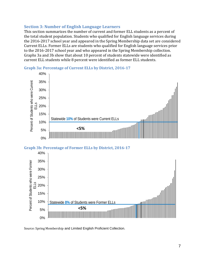# **Section 3: Number of English Language Learners**

This section summarizes the number of current and former ELL students as a percent of the total student population. Students who qualified for English language services during the 2016-2017 school year and appeared in the Spring Membership data set are considered Current ELLs. Former ELLs are students who qualified for English language services prior to the 2016-2017 school year and who appeared in the Spring Membership collection. Graphs 3a and 3b show that about 10 percent of students statewide were identified as current ELL students while 8 percent were identified as former ELL students.

<span id="page-12-0"></span>



## <span id="page-12-1"></span>**Graph 3b: Percentage of Former ELLs by District, 2016-17**



Source: Spring Membership and Limited English Proficient Collection.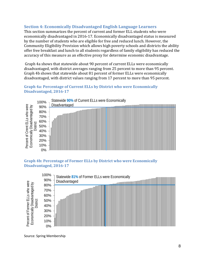# <span id="page-13-0"></span>**Section 4: Economically Disadvantaged English Language Learners**

This section summarizes the percent of current and former ELL students who were economically disadvantaged in 2016-17. Economically disadvantaged status is measured by the number of students who are eligible for free and reduced lunch. However, the Community Eligibility Provision which allows high poverty schools and districts the ability offer free breakfast and lunch to all students regardless of family eligibility has reduced the accuracy of this measure as an effective proxy for determine economic disadvantage.

Graph 4a shows that statewide about 90 percent of current ELLs were economically disadvantaged, with district averages ranging from 25 percent to more than 95 percent. Graph 4b shows that statewide about 81 percent of former ELLs were economically disadvantaged, with district values ranging from 17 percent to more than 95 percent.

# <span id="page-13-1"></span>**Graph 4a: Percentage of Current ELLs by District who were Economically Disadvantaged, 2016-17**



## <span id="page-13-2"></span>**Graph 4b: Percentage of Former ELLs by District who were Economically Disadvantaged, 2016-17**



Source: Spring Membership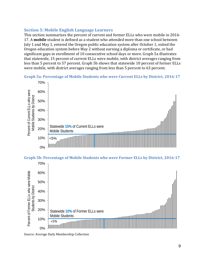# <span id="page-14-0"></span>**Section 5: Mobile English Language Learners**

This section summarizes the percent of current and former ELLs who were mobile in 2016- 17. A **mobile** student is defined as a student who attended more than one school between July 1 and May 1, entered the Oregon public education system after October 1, exited the Oregon education system before May 2 without earning a diploma or certificate, or had significant gaps in enrollment of 10 consecutive school days or more. Graph 5a illustrates that statewide, 15 percent of current ELLs were mobile, with district averages ranging from less than 5 percent to 57 percent. Graph 5b shows that statewide 10 percent of former ELLs were mobile, with district averages ranging from less than 5 percent to 63 percent.

<span id="page-14-1"></span>



<span id="page-14-2"></span>**Graph 5b: Percentage of Mobile Students who were Former ELLs by District, 2016-17**



Source: Average Daily Membership Collection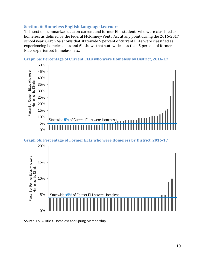## <span id="page-15-0"></span>**Section 6: Homeless English Language Learners**

This section summarizes data on current and former ELL students who were classified as homeless as defined by the federal McKinney-Vento Act at any point during the 2016-2017 school year. Graph 6a shows that statewide 5 percent of current ELLs were classified as experiencing homelessness and 6b shows that statewide, less than 5 percent of former ELLs experienced homelessness.

<span id="page-15-1"></span>**Graph 6a: Percentage of Current ELLs who were Homeless by District, 2016-17**



#### <span id="page-15-2"></span>**Graph 6b: Percentage of Former ELLs who were Homeless by District, 2016-17**



Source: ESEA Title X Homeless and Spring Membership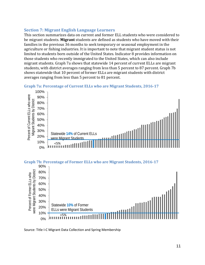# <span id="page-16-0"></span>**Section 7: Migrant English Language Learners**

This section summarizes data on current and former ELL students who were considered to be migrant students. **Migrant** students are defined as students who have moved with their families in the previous 36 months to seek temporary or seasonal employment in the agriculture or fishing industries. It is important to note that migrant student status is not limited to students born outside of the United States. Indicator 8 provides information on those students who recently immigrated to the United States, which can also include migrant students. Graph 7a shows that statewide 14 percent of current ELLs are migrant students, with district averages ranging from less than 5 percent to 87 percent. Graph 7b shows statewide that 10 percent of former ELLs are migrant students with district averages ranging from less than 5 percent to 81 percent.

<span id="page-16-1"></span>



## <span id="page-16-2"></span>**Graph 7b: Percentage of Former ELLs who are Migrant Students, 2016-17**



Source: Title I-C Migrant Data Collection and Spring Membership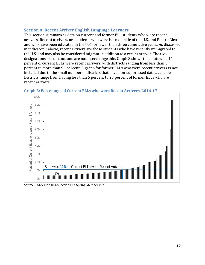# <span id="page-17-0"></span>**Section 8: Recent Arriver English Language Learners**

This section summarizes data on current and former ELL students who were recent arrivers. **Recent arrivers** are students who were born outside of the U.S. and Puerto Rico and who have been educated in the U.S. for fewer than three cumulative years. As discussed in indicator 7 above, recent arrivers are those students who have recently immigrated to the U.S. and may also be considered migrant in addition to a recent arriver. The two designations are distinct and are not interchangeable. Graph 8 shows that statewide 11 percent of current ELLs were recent arrivers, with districts ranging from less than 5 percent to more than 95 percent. A graph for former ELLs who were recent arrivers is not included due to the small number of districts that have non-suppressed data available. Districts range from having less than 5 percent to 25 percent of former ELLs who are recent arrivers.



## <span id="page-17-1"></span>**Graph 8: Percentage of Current ELLs who were Recent Arrivers, 2016-17**

Source: ESEA Title III Collection and Spring Membership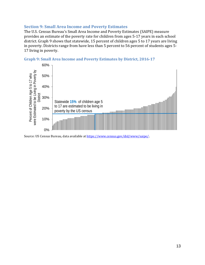## <span id="page-18-0"></span>**Section 9: Small Area Income and Poverty Estimates**

The U.S. Census Bureau's Small Area Income and Poverty Estimates (SAIPE) measure provides an estimate of the poverty rate for children from ages 5-17 years in each school district. Graph 9 shows that statewide, 15 percent of children ages 5 to 17 years are living in poverty. Districts range from have less than 5 percent to 56 percent of students ages 5- 17 living in poverty.

<span id="page-18-1"></span>



Source: US Census Bureau, data available a[t https://www.census.gov/did/www/saipe/](https://www.census.gov/did/www/saipe/).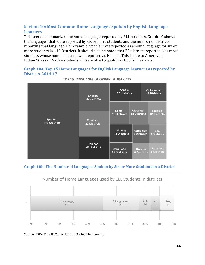# <span id="page-19-0"></span>**Section 10: Most Common Home Languages Spoken by English Language Learners**

This section summarizes the home languages reported by ELL students. Graph 10 shows the languages that were reported by six or more students and the number of districts reporting that language. For example, Spanish was reported as a home language for six or more students in 113 Districts. It should also be noted that 25 districts reported 6 or more students whose home language was reported as English. This is due to American Indian/Alaskan Native students who are able to qualify as English Learners.

<span id="page-19-1"></span>

| TOP 15 LANGUAGES OF ORIGIN IN DISTRICTS |                                       |                                        |                                                                   |                              |                                       |  |
|-----------------------------------------|---------------------------------------|----------------------------------------|-------------------------------------------------------------------|------------------------------|---------------------------------------|--|
|                                         | <b>English</b><br><b>25 Districts</b> | Arabic<br><b>17 Districts</b>          | <b>Vietnamese</b><br><b>14 Districts</b>                          |                              |                                       |  |
|                                         |                                       | Somali<br><b>13 Districts</b>          | <b>Ukranian</b><br><b>12 Districts</b><br>Romanian<br>9 Districts |                              | <b>Tagalog</b><br><b>12 Districts</b> |  |
| Spanish<br><b>113 Districts</b>         | <b>Russian</b><br><b>22 Districts</b> | Hmong<br><b>12 Districts</b>           |                                                                   |                              | Lao<br>9 Districts                    |  |
|                                         | <b>Chinese</b><br>20 Districts        | <b>Chuukese</b><br><b>11 Districts</b> |                                                                   | Korean<br><b>8 Districts</b> | Japanese<br>8 Districts               |  |

<span id="page-19-2"></span>**Graph 10b: The Number of Languages Spoken by Six or More Students in a District**



Source: ESEA Title III Collection and Spring Membership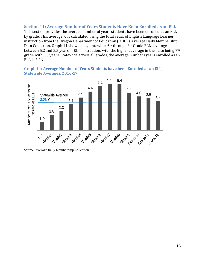# <span id="page-20-0"></span>**Section 11: Average Number of Years Students Have Been Enrolled as an ELL**

This section provides the average number of years students have been enrolled as an ELL by grade. This average was calculated using the total years of English Language Learner instruction from the Oregon Department of Education (ODE)'s Average Daily Membership Data Collection. Graph 11 shows that, statewide, 6<sup>th</sup> through 8<sup>th</sup> Grade ELLs average between 5.2 and 5.5 years of ELL instruction, with the highest average in the state being 7<sup>th</sup> grade with 5.5 years. Statewide across all grades, the average numbers years enrolled as an ELL is 3.26.

<span id="page-20-1"></span>**Graph 11: Average Number of Years Students have been Enrolled as an ELL, Statewide Averages, 2016-17**



Source: Average Daily Membership Collection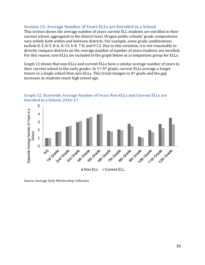## <span id="page-21-0"></span>**Section 12: Average Number of Years ELLs are Enrolled in a School**

This section shows the average number of years current ELL students are enrolled in their current school, aggregated to the district level. Oregon public schools' grade compositions vary widely both within and between districts. For example, some grade combinations include K-3, K-5, K-6, K-12, 6-8, 7-8, and 9-12. Due to this variation, it is not reasonable to directly compare districts on the average number of number of years students are enrolled. For this reason, non-ELLs are included in the graph below as a comparison group for ELLs.

Graph 12 shows that non-ELLs and current ELLs have a similar average number of years in their current school in the early grades. In  $1^{st}$ -5<sup>th</sup> grade, current ELLs average a longer tenure in a single school than non-ELLs. This trend changes in  $6<sup>th</sup>$  grade and the gap increases as students reach high school age.



<span id="page-21-1"></span>**Graph 12: Statewide Average Number of Years Non-ELLs and Current ELLs are Enrolled in a School, 2016-17**

Source: Average Daily Membership Collection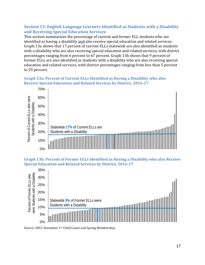# <span id="page-22-0"></span>**Section 13: English Language Learners Identified as Students with a Disability and Receiving Special Education Services**

This section summarizes the percentage of current and former ELL students who are identified as having a disability and also receive special education and related services. Graph 13a shows that 17 percent of current ELLs statewide are also identified as students with a disability who are also receiving special education and related services, with district percentages ranging from 6 percent to 67 percent. Graph 13b shows that 9 percent of former ELLs are also identified as students with a disability who are also receiving special education and related services, with district percentages ranging from less than 5 percent to 29 percent.

# <span id="page-22-1"></span>**Graph 13a: Percent of Current ELLs Identified as Having a Disability who also Receive Special Education and Related Services by District, 2016-17**



<span id="page-22-2"></span>**Graph 13b: Percent of Former ELLs Identified as Having a Disability who also Receive Special Education and Related Services by District, 2016-17**



Source: SECC December 1st Child Count and Spring Membership.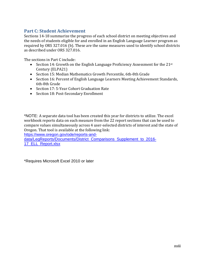# <span id="page-23-0"></span>**Part C: Student Achievement**

Sections 14-18 summarize the progress of each school district on meeting objectives and the needs of students eligible for and enrolled in an English Language Learner program as required by ORS 327.016 (b). These are the same measures used to identify school districts as described under ORS 327.016.

The sections in Part C include:

- Section 14: Growth on the English Language Proficiency Assessment for the  $21^{st}$ Century (ELPA21)
- Section 15: Median Mathematics Growth Percentile, 6th-8th Grade
- Section 16: Percent of English Language Learners Meeting Achievement Standards, 6th-8th Grade
- Section 17: 5-Year Cohort Graduation Rate
- Section 18: Post-Secondary Enrollment

<span id="page-23-1"></span>\*NOTE: A separate data tool has been created this year for districts to utilize. The excel workbook reports data on each measure from the 22 report sections that can be used to compare values simultaneously across 4 user-selected districts of interest and the state of Oregon. That tool is available at the following link:

[https://www.oregon.gov/ode/reports-and-](https://www.oregon.gov/ode/reports-and-data/LegReports/Documents/District_Comparisons_Supplement_to_2016-17_ELL_Report.xlsx)

[data/LegReports/Documents/District\\_Comparisons\\_Supplement\\_to\\_2016-](https://www.oregon.gov/ode/reports-and-data/LegReports/Documents/District_Comparisons_Supplement_to_2016-17_ELL_Report.xlsx) [17\\_ELL\\_Report.xlsx](https://www.oregon.gov/ode/reports-and-data/LegReports/Documents/District_Comparisons_Supplement_to_2016-17_ELL_Report.xlsx)

\*Requires Microsoft Excel 2010 or later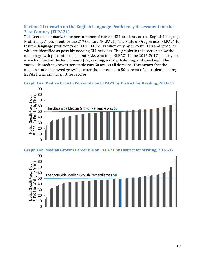# **Section 14: Growth on the English Language Proficiency Assessment for the 21st Century (ELPA21)**

This section summarizes the performance of current ELL students on the English Language Proficiency Assessment for the 21st Century (ELPA21). The State of Oregon uses ELPA21 to test the language proficiency of ELLs. ELPA21 is taken only by current ELLs and students who are identified as possibly needing ELL services. The graphs in this section show the median growth percentile of current ELLs who took ELPA21 in the 2016-2017 school year in each of the four tested domains (i.e., reading, writing, listening, and speaking). The statewide median growth percentile was 50 across all domains. This means that the median student showed growth greater than or equal to 50 percent of all students taking ELPA21 with similar past test scores.

<span id="page-24-0"></span>



<span id="page-24-1"></span>

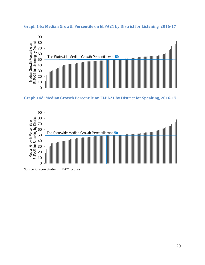

<span id="page-25-0"></span>

<span id="page-25-1"></span>



Source: Oregon Student ELPA21 Scores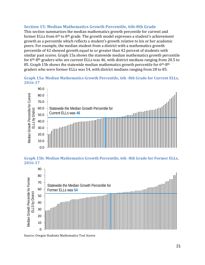# <span id="page-26-0"></span>**Section 15: Median Mathematics Growth Percentile, 6th-8th Grade**

This section summarizes the median mathematics growth percentile for current and former ELLs from 6th to 8th grade. The growth model expresses a student's achievement growth as a percentile which reflects a student's growth relative to his or her academic peers. For example, the median student from a district with a mathematics growth percentile of 42 showed growth equal to or greater than 42 percent of students with similar past scores. Graph 15a shows the statewide median mathematics growth percentile for 6th-8th graders who are current ELLs was 46, with district medians ranging from 20.5 to 85. Graph 15b shows the statewide median mathematics growth percentile for 6<sup>th</sup>-8<sup>th</sup> graders who were former ELLs was 54, with district medians ranging from 28 to 85.

# <span id="page-26-1"></span>**Graph 15a: Median Mathematics Growth Percentile, 6th -8th Grade for Current ELLs, 2016-17**



## <span id="page-26-2"></span>**Graph 15b: Median Mathematics Growth Percentile, 6th -8th Grade for Former ELLs, 2016-17**



Source: Oregon Students Mathematics Test Scores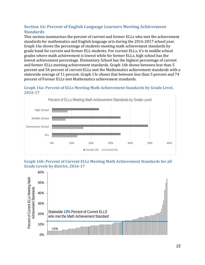# <span id="page-27-0"></span>**Section 16: Percent of English Language Learners Meeting Achievement Standards**

This section summarizes the percent of current and former ELLs who met the achievement standards for mathematics and English language arts during the 2016-2017 school year. Graph 16a shows the percentage of students meeting math achievement standards by grade band for current and former ELL students. For current ELLs, it's in middle school grades where math achievement is lowest while for former ELLs, high school has the lowest achievement percentage. Elementary School has the highest percentage of current and former ELLs meeting achievement standards. Graph 16b shows between less than 5 percent and 54 percent of current ELLs met the Mathematics achievement standards with a statewide average of 11 percent. Graph 13c shows that between less than 5 percent and 74 percent of Former ELLs met Mathematics achievement standards.

<span id="page-27-1"></span>



## <span id="page-27-2"></span>**Graph 16b: Percent of Current ELLs Meeting Math Achievement Standards for all Grade Levels by district, 2016-17**

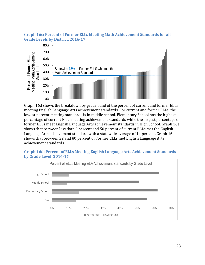## <span id="page-28-0"></span>**Graph 16c: Percent of Former ELLs Meeting Math Achievement Standards for all Grade Levels by District, 2016-17**



Graph 16d shows the breakdown by grade band of the percent of current and former ELLs meeting English Language Arts achievement standards. For current and former ELLs, the lowest percent meeting standards is in middle school. Elementary School has the highest percentage of current ELLs meeting achievement standards while the largest percentage of former ELLs meet English Language Arts achievement standards in High School. Graph 16e shows that between less than 5 percent and 50 percent of current ELLs met the English Language Arts achievement standard with a statewide average of 14 percent. Graph 16f shows that between 22 and 80 percent of Former ELLs met English Language Arts achievement standards.

## <span id="page-28-1"></span>**Graph 16d: Percent of ELLs Meeting English Language Arts Achievement Standards by Grade Level, 2016-17**

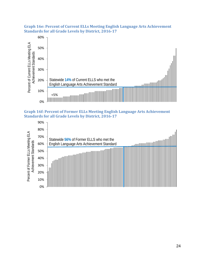

## <span id="page-29-0"></span>**Graph 16e: Percent of Current ELLs Meeting English Language Arts Achievement Standards for all Grade Levels by District, 2016-17**

<span id="page-29-1"></span>

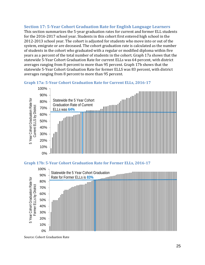# <span id="page-30-0"></span>**Section 17: 5-Year Cohort Graduation Rate for English Language Learners**

This section summarizes the 5-year graduation rates for current and former ELL students for the 2016-2017 school year. Students in this cohort first entered high school in the 2012-2013 school year. The cohort is adjusted for students who move into or out of the system, emigrate or are deceased. The cohort graduation rate is calculated as the number of students in the cohort who graduated with a regular or modified diploma within five years as a percent of the total number of students in the cohort. Graph 17a shows that the statewide 5-Year Cohort Graduation Rate for current ELLs was 64 percent, with district averages ranging from 8 percent to more than 95 percent. Graph 17b shows that the statewide 5-Year Cohort Graduation Rate for former ELLS was 83 percent, with district averages ranging from 8 percent to more than 95 percent.



<span id="page-30-1"></span>

## <span id="page-30-2"></span>**Graph 17b: 5-Year Cohort Graduation Rate for Former ELLs, 2016-17**



Source: Cohort Graduation Rate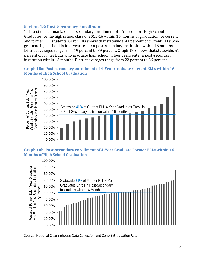# <span id="page-31-0"></span>**Section 18: Post-Secondary Enrollment**

This section summarizes post-secondary enrollment of 4-Year Cohort High School Graduates for the high school class of 2015-16 within 16 months of graduation for current and former ELL students. Graph 18a shows that statewide, 41 percent of current ELLs who graduate high school in four years enter a post-secondary institution within 16 months. District averages range from 19 percent to 89 percent. Graph 18b shows that statewide, 51 percent of former ELLs who graduate high school in four years enter a post-secondary institution within 16 months. District averages range from 22 percent to 86 percent.

# <span id="page-31-1"></span>**Graph 18a: Post-secondary enrollment of 4-Year Graduate Current ELLs within 16 Months of High School Graduation**



#### <span id="page-31-2"></span>**Graph 18b: Post-secondary enrollment of 4-Year Graduate Former ELLs within 16 Months of High School Graduation**



Source: National Clearinghouse Data Collection and Cohort Graduation Rate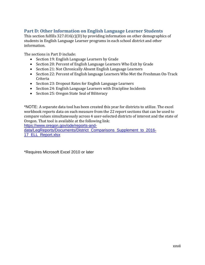# <span id="page-32-0"></span>**Part D: Other Information on English Language Learner Students**

This section fulfills 327.016(c)(D) by providing information on other demographics of students in English Language Learner programs in each school district and other information.

The sections in Part D include:

- Section 19: English Language Learners by Grade
- Section 20: Percent of English Language Learners Who Exit by Grade
- Section 21: Not Chronically Absent English Language Learners
- Section 22: Percent of English language Learners Who Met the Freshman On-Track Criteria
- Section 23: Dropout Rates for English Language Learners
- Section 24: English Language Learners with Discipline Incidents
- Section 25: Oregon State Seal of Biliteracy

<span id="page-32-1"></span>\*NOTE: A separate data tool has been created this year for districts to utilize. The excel workbook reports data on each measure from the 22 report sections that can be used to compare values simultaneously across 4 user-selected districts of interest and the state of Oregon. That tool is available at the following link:

[https://www.oregon.gov/ode/reports-and-](https://www.oregon.gov/ode/reports-and-data/LegReports/Documents/District_Comparisons_Supplement_to_2016-17_ELL_Report.xlsx)

[data/LegReports/Documents/District\\_Comparisons\\_Supplement\\_to\\_2016-](https://www.oregon.gov/ode/reports-and-data/LegReports/Documents/District_Comparisons_Supplement_to_2016-17_ELL_Report.xlsx) [17\\_ELL\\_Report.xlsx](https://www.oregon.gov/ode/reports-and-data/LegReports/Documents/District_Comparisons_Supplement_to_2016-17_ELL_Report.xlsx)

\*Requires Microsoft Excel 2010 or later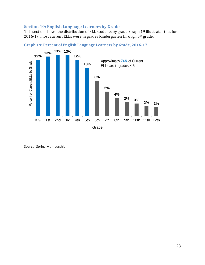# **Section 19: English Language Learners by Grade**

This section shows the distribution of ELL students by grade. Graph 19 illustrates that for 2016-17, most current ELLs were in grades Kindergarten through 5th grade.



<span id="page-33-0"></span>**Graph 19: Percent of English Language Learners by Grade, 2016-17**

Source: Spring Membership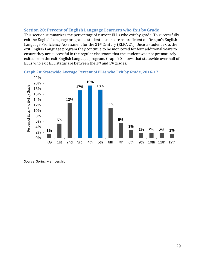# <span id="page-34-0"></span>**Section 20: Percent of English Language Learners who Exit by Grade**

This section summarizes the percentage of current ELLs who exit by grade. To successfully exit the English Language program a student must score as proficient on Oregon's English Language Proficiency Assessment for the 21st Century (ELPA 21). Once a student exits the exit English Language program they continue to be monitored for four additional years to ensure they are successful in the regular classroom that the student was not prematurely exited from the exit English Language program. Graph 20 shows that statewide over half of ELLs who exit ELL status are between the 3rd and 5th grades.



<span id="page-34-1"></span>

Source: Spring Membership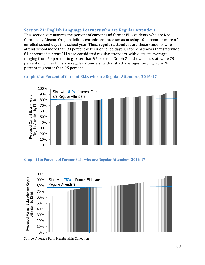# <span id="page-35-0"></span>**Section 21: English Language Learners who are Regular Attenders**

This section summarizes the percent of current and former ELL students who are Not Chronically Absent. Oregon defines chronic absenteeism as missing 10 percent or more of enrolled school days in a school year. Thus, **regular attenders** are those students who attend school more than 90 percent of their enrolled days. Graph 21a shows that statewide, 81 percent of current ELLs are considered regular attenders, with districts averages ranging from 50 percent to greater than 95 percent. Graph 21b shows that statewide 78 percent of former ELLs are regular attenders, with district averages ranging from 28 percent to greater than 95 percent.

## <span id="page-35-1"></span>**Graph 21a: Percent of Current ELLs who are Regular Attenders, 2016-17**



#### <span id="page-35-2"></span>**Graph 21b: Percent of Former ELLs who are Regular Attenders, 2016-17**



Source: Average Daily Membership Collection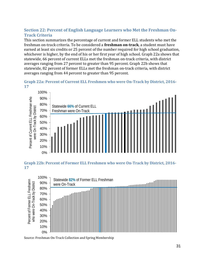# <span id="page-36-0"></span>**Section 22: Percent of English Language Learners who Met the Freshman On-Track Criteria**

This section summarizes the percentage of current and former ELL students who met the freshman on-track criteria. To be considered a **freshman on-track**, a student must have earned at least six credits or 25 percent of the number required for high school graduation, whichever is higher, by the end of his or her first year of high school. Graph 22a shows that statewide, 66 percent of current ELLs met the freshman on-track criteria, with district averages ranging from 27 percent to greater than 95 percent. Graph 22b shows that statewide, 82 percent of former ELLs met the freshman on-track criteria, with district averages ranging from 44 percent to greater than 95 percent.

<span id="page-36-1"></span>



<span id="page-36-2"></span>**Graph 22b: Percent of Former ELL Freshmen who were On-Track by District, 2016- 17**



Source: Freshman On-Track Collection and Spring Membership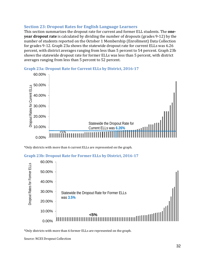# <span id="page-37-0"></span>**Section 23: Dropout Rates for English Language Learners**

This section summarizes the dropout rate for current and former ELL students. The **oneyear dropout rate** is calculated by dividing the number of dropouts (grades 9-12) by the number of students reported on the October 1 Membership (Enrollment) Data Collection for grades 9-12. Graph 23a shows the statewide dropout rate for current ELLs was 6.26 percent, with district averages ranging from less than 5 percent to 54 percent. Graph 23b shows the statewide dropout rate for former ELLs was less than 5 percent, with district averages ranging from less than 5 percent to 52 percent.



<span id="page-37-1"></span>**Graph 23a: Dropout Rate for Current ELLs by District, 2016-17**

\*Only districts with more than 6 current ELLs are represented on the graph.

```
Graph 23b: Dropout Rate for Former ELLs by District, 2016-17
```


\*Only districts with more than 6 former ELLs are represented on the graph.

Source: NCES Dropout Collection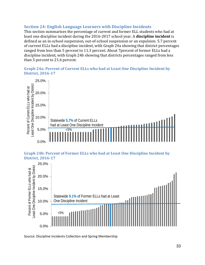# <span id="page-38-0"></span>**Section 24: English Language Learners with Discipline Incidents**

This section summarizes the percentage of current and former ELL students who had at least one discipline incident during the 2016-2017 school year. A **discipline incident** is defined as an in-school suspension, out-of-school suspension or an expulsion. 5.7 percent of current ELLs had a discipline incident, with Graph 24a showing that district percentages ranged from less than 5 percent to 11.3 percent. About 7percent of former ELLs had a discipline incident, with Graph 24b showing that districts percentages ranged from less than 5 percent to 21.6 percent.

# <span id="page-38-1"></span>**Graph 24a: Percent of Current ELLs who had at Least One Discipline Incident by District, 2016-17**



<span id="page-38-2"></span>**Graph 24b: Percent of Former ELLs who had at Least One Discipline Incident by District, 2016-17**



Source: Discipline Incidents Collection and Spring Membership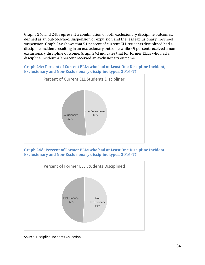Graphs 24a and 24b represent a combination of both exclusionary discipline outcomes, defined as an out-of-school suspension or expulsion and the less exclusionary in-school suspension. Graph 24c shows that 51 percent of current ELL students disciplined had a discipline incident resulting in an exclusionary outcome while 49 percent received a nonexclusionary discipline outcome. Graph 24d indicates that for former ELLs who had a discipline incident, 49 percent received an exclusionary outcome.

<span id="page-39-0"></span>**Graph 24c: Percent of Current ELLs who had at Least One Discipline Incident, Exclusionary and Non-Exclusionary discipline types, 2016-17**



<span id="page-39-1"></span>**Graph 24d: Percent of Former ELLs who had at Least One Discipline Incident Exclusionary and Non-Exclusionary discipline types, 2016-17**



Source: Discipline Incidents Collection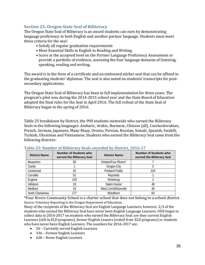# <span id="page-40-0"></span>**Section 25: Oregon State Seal of Biliteracy**

The Oregon State Seal of Biliteracy is an award students can earn by demonstrating language proficiency in both English and another partner language. Students must meet three criteria for the seal:

- Satisfy all regular graduation requirements
- Meet Essential Skills in English in Reading and Writing
- Score at the accepted level on the Partner Language Proficiency Assessment or provide a portfolio of evidence, assessing the four language domains of listening, speaking, reading and writing.

The award is in the form of a certificate and an embossed sticker seal that can be affixed to the graduating students' diplomas. The seal is also noted on students' transcripts for postsecondary applications.

The Oregon State Seal of Biliteracy has been in full implementation for three years. The program's pilot was during the 2014-2015 school year and the State Board of Education adopted the final rules for the Seal in April 2016. The full rollout of the State Seal of Biliteracy began in the spring of 2016.

Table 25 breakdown by District, the 990 students statewide who earned the Biliteracy Seals in the following languages: Amharic, Arabic, Burmese, Chinese (all), Czechoslovakian, French, German, Japanese, Maay-Maay, Oromo, Persian, Russian, Somali, Spanish, Swahili, Turkish, Ukrainian and Vietnamese. Students who earned the Biliteracy Seal came from the following districts:

| <b>District Name</b> | <b>Number of Students who</b><br>earned the Biliteracy Seal | <b>District Name</b>   | <b>Number of Students who</b><br>earned the Biliteracy Seal |
|----------------------|-------------------------------------------------------------|------------------------|-------------------------------------------------------------|
| <b>Beaverton</b>     | 56                                                          | Ontario/Four Rivers*   |                                                             |
| Canby                |                                                             | Oregon City            |                                                             |
| Centennial           | 25                                                          | <b>Portland Public</b> | 324                                                         |
| Corvallis            | 51                                                          | Reynolds               |                                                             |
| Eugene               | 155                                                         | Roseburg               |                                                             |
| Hillsboro            | 18                                                          | Salem Keizer           | 48                                                          |
| Medford              | 16                                                          | West Linn/Wilsonville  | 40                                                          |
| North Clackamas      | 177                                                         | Woodburn               | 64                                                          |

## <span id="page-40-1"></span>**Table 25: Number of Biliteracy Seals awarded by District, 2016-17**

\*Four Rivers Community School is a charter school that does not belong to a school district. Source: Voluntary Reporting to the Oregon Department of Education.

Many of the recipients of the Biliteracy Seal are English Language Learners; however, 2/3 of the students who earned the Biliteracy Seal have never been English Language Learners. ODE began to collect data in 2016-2017 on students who earned the Biliteracy Seal: are they current English Learners (still in ELD programs), former English Leaners (exited from ELD programs) or students who have never been English Learners. The numbers for 2016-2017 are:

- 26 Currently served English Learners
- 336 Former English Learners
- 628 Never English Learners